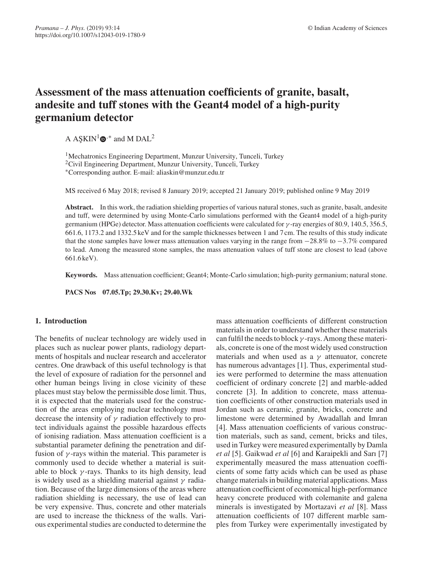# **Assessment of the mass attenuation coefficients of granite, basalt, andesite and tuff stones with the Geant4 model of a high-purity germanium detector**

A ASKIN<sup>1</sup> $\mathbf{\Phi}$ <sup>\*</sup> and M DAL<sup>2</sup>

<sup>1</sup>Mechatronics Engineering Department, Munzur University, Tunceli, Turkey 2Civil Engineering Department, Munzur University, Tunceli, Turkey ∗Corresponding author. E-mail: aliaskin@munzur.edu.tr

MS received 6 May 2018; revised 8 January 2019; accepted 21 January 2019; published online 9 May 2019

**Abstract.** In this work, the radiation shielding properties of various natural stones, such as granite, basalt, andesite and tuff, were determined by using Monte-Carlo simulations performed with the Geant4 model of a high-purity germanium (HPGe) detector. Mass attenuation coefficients were calculated for  $\gamma$ -ray energies of 80.9, 140.5, 356.5, 661.6, 1173.2 and 1332.5 keV and for the sample thicknesses between 1 and 7 cm. The results of this study indicate that the stone samples have lower mass attenuation values varying in the range from −28.8% to −3.7% compared to lead. Among the measured stone samples, the mass attenuation values of tuff stone are closest to lead (above 661.6 keV).

**Keywords.** Mass attenuation coefficient; Geant4; Monte-Carlo simulation; high-purity germanium; natural stone.

**PACS Nos 07.05.Tp; 29.30.Kv; 29.40.Wk**

## **1. Introduction**

The benefits of nuclear technology are widely used in places such as nuclear power plants, radiology departments of hospitals and nuclear research and accelerator centres. One drawback of this useful technology is that the level of exposure of radiation for the personnel and other human beings living in close vicinity of these places must stay below the permissible dose limit. Thus, it is expected that the materials used for the construction of the areas employing nuclear technology must decrease the intensity of  $\gamma$  radiation effectively to protect individuals against the possible hazardous effects of ionising radiation. Mass attenuation coefficient is a substantial parameter defining the penetration and diffusion of  $\gamma$ -rays within the material. This parameter is commonly used to decide whether a material is suitable to block  $\gamma$ -rays. Thanks to its high density, lead is widely used as a shielding material against  $\gamma$  radiation. Because of the large dimensions of the areas where radiation shielding is necessary, the use of lead can be very expensive. Thus, concrete and other materials are used to increase the thickness of the walls. Various experimental studies are conducted to determine the mass attenuation coefficients of different construction materials in order to understand whether these materials can fulfil the needs to block  $\gamma$ -rays. Among these materials, concrete is one of the most widely used construction materials and when used as a  $\gamma$  attenuator, concrete has numerous advantages [1]. Thus, experimental studies were performed to determine the mass attenuation coefficient of ordinary concrete [2] and marble-added concrete [3]. In addition to concrete, mass attenuation coefficients of other construction materials used in Jordan such as ceramic, granite, bricks, concrete and limestone were determined by Awadallah and Imran [4]. Mass attenuation coefficients of various construction materials, such as sand, cement, bricks and tiles, used in Turkey were measured experimentally by Damla *et al* [5]. Gaikwad *et al* [6] and Karaipekli and Sarı [7] experimentally measured the mass attenuation coefficients of some fatty acids which can be used as phase change materials in building material applications. Mass attenuation coefficient of economical high-performance heavy concrete produced with colemanite and galena minerals is investigated by Mortazavi *et al* [8]. Mass attenuation coefficients of 107 different marble samples from Turkey were experimentally investigated by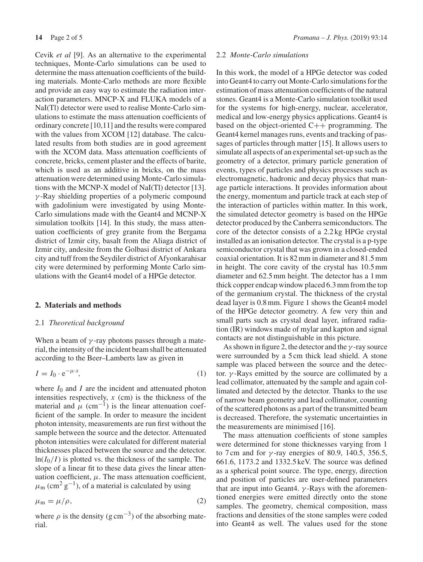Cevik *et al* [9]. As an alternative to the experimental techniques, Monte-Carlo simulations can be used to determine the mass attenuation coefficients of the building materials. Monte-Carlo methods are more flexible and provide an easy way to estimate the radiation interaction parameters. MNCP-X and FLUKA models of a NaI(Tl) detector were used to realise Monte-Carlo simulations to estimate the mass attenuation coefficients of ordinary concrete [10,11] and the results were compared with the values from XCOM [12] database. The calculated results from both studies are in good agreement with the XCOM data. Mass attenuation coefficients of concrete, bricks, cement plaster and the effects of barite, which is used as an additive in bricks, on the mass attenuation were determined using Monte-Carlo simulations with the MCNP-X model of NaI(Tl) detector [13].  $\gamma$ -Ray shielding properties of a polymeric compound with gadolinium were investigated by using Monte-Carlo simulations made with the Geant4 and MCNP-X simulation toolkits [14]. In this study, the mass attenuation coefficients of grey granite from the Bergama district of Izmir city, basalt from the Aliaga district of Izmir city, andesite from the Golbasi district of Ankara city and tuff from the Seydiler district of Afyonkarahisar city were determined by performing Monte Carlo simulations with the Geant4 model of a HPGe detector.

#### **2. Materials and methods**

#### 2.1 *Theoretical background*

When a beam of  $\gamma$ -ray photons passes through a material, the intensity of the incident beam shall be attenuated according to the Beer–Lamberts law as given in

$$
I = I_0 \cdot e^{-\mu \cdot x},\tag{1}
$$

where  $I_0$  and  $I$  are the incident and attenuated photon intensities respectively,  $x$  (cm) is the thickness of the material and  $\mu$  (cm<sup>-1</sup>) is the linear attenuation coefficient of the sample. In order to measure the incident photon intensity, measurements are run first without the sample between the source and the detector. Attenuated photon intensities were calculated for different material thicknesses placed between the source and the detector.  $ln(I_0/I)$  is plotted vs. the thickness of the sample. The slope of a linear fit to these data gives the linear attenuation coefficient,  $\mu$ . The mass attenuation coefficient,  $\mu$ <sub>m</sub> (cm<sup>2</sup> g<sup>-1</sup>), of a material is calculated by using

$$
\mu_{\rm m} = \mu/\rho,\tag{2}
$$

where  $\rho$  is the density (g cm<sup>-3</sup>) of the absorbing material.

## 2.2 *Monte-Carlo simulations*

In this work, the model of a HPGe detector was coded into Geant4 to carry out Monte-Carlo simulations for the estimation of mass attenuation coefficients of the natural stones. Geant4 is a Monte-Carlo simulation toolkit used for the systems for high-energy, nuclear, accelerator, medical and low-energy physics applications. Geant4 is based on the object-oriented  $C++$  programming. The Geant4 kernel manages runs, events and tracking of passages of particles through matter [15]. It allows users to simulate all aspects of an experimental set-up such as the geometry of a detector, primary particle generation of events, types of particles and physics processes such as electromagnetic, hadronic and decay physics that manage particle interactions. It provides information about the energy, momentum and particle track at each step of the interaction of particles within matter. In this work, the simulated detector geometry is based on the HPGe detector produced by the Canberra semiconductors. The core of the detector consists of a 2.2 kg HPGe crystal installed as an ionisation detector. The crystal is a p-type semiconductor crystal that was grown in a closed-ended coaxial orientation. It is 82 mm in diameter and 81.5 mm in height. The core cavity of the crystal has 10.5 mm diameter and 62.5 mm height. The detector has a 1 mm thick copper endcap window placed 6.3 mm from the top of the germanium crystal. The thickness of the crystal dead layer is 0.8 mm. Figure 1 shows the Geant4 model of the HPGe detector geometry. A few very thin and small parts such as crystal dead layer, infrared radiation (IR) windows made of mylar and kapton and signal contacts are not distinguishable in this picture.

As shown in figure 2, the detector and the  $\gamma$ -ray source were surrounded by a 5 cm thick lead shield. A stone sample was placed between the source and the detector.  $\gamma$ -Rays emitted by the source are collimated by a lead collimator, attenuated by the sample and again collimated and detected by the detector. Thanks to the use of narrow beam geometry and lead collimator, counting of the scattered photons as a part of the transmitted beam is decreased. Therefore, the systematic uncertainties in the measurements are minimised [16].

The mass attenuation coefficients of stone samples were determined for stone thicknesses varying from 1 to 7 cm and for  $\gamma$ -ray energies of 80.9, 140.5, 356.5, 661.6, 1173.2 and 1332.5 keV. The source was defined as a spherical point source. The type, energy, direction and position of particles are user-defined parameters that are input into Geant4.  $\gamma$ -Rays with the aforementioned energies were emitted directly onto the stone samples. The geometry, chemical composition, mass fractions and densities of the stone samples were coded into Geant4 as well. The values used for the stone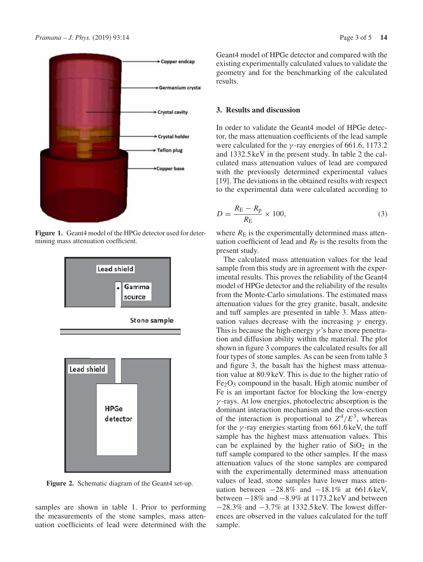

**Figure 1.** Geant4 model of the HPGe detector used for determining mass attenuation coefficient.



Figure 2. Schematic diagram of the Geant4 set-up.

samples are shown in table 1. Prior to performing the measurements of the stone samples, mass attenuation coefficients of lead were determined with the Geant4 model of HPGe detector and compared with the existing experimentally calculated values to validate the geometry and for the benchmarking of the calculated results.

## **3. Results and discussion**

In order to validate the Geant4 model of HPGe detector, the mass attenuation coefficients of the lead sample were calculated for the  $\gamma$ -ray energies of 661.6, 1173.2 and 1332.5 keV in the present study. In table 2 the calculated mass attenuation values of lead are compared with the previously determined experimental values [19]. The deviations in the obtained results with respect to the experimental data were calculated according to

$$
D = \frac{R_{\rm E} - R_{\rm p}}{R_{\rm E}} \times 100,\tag{3}
$$

where  $R<sub>E</sub>$  is the experimentally determined mass attenuation coefficient of lead and  $R<sub>P</sub>$  is the results from the present study.

The calculated mass attenuation values for the lead sample from this study are in agreement with the experimental results. This proves the reliability of the Geant4 model of HPGe detector and the reliability of the results from the Monte-Carlo simulations. The estimated mass attenuation values for the grey granite, basalt, andesite and tuff samples are presented in table 3. Mass attenuation values decrease with the increasing  $\gamma$  energy. This is because the high-energy  $\gamma$ 's have more penetration and diffusion ability within the material. The plot shown in figure 3 compares the calculated results for all four types of stone samples. As can be seen from table 3 and figure 3, the basalt has the highest mass attenuation value at 80.9 keV. This is due to the higher ratio of  $Fe<sub>2</sub>O<sub>3</sub>$  compound in the basalt. High atomic number of Fe is an important factor for blocking the low-energy  $\gamma$ -rays. At low energies, photoelectric absorption is the dominant interaction mechanism and the cross-section of the interaction is proportional to  $Z^4/E^3$ , whereas for the  $\gamma$ -ray energies starting from 661.6 keV, the tuff sample has the highest mass attenuation values. This can be explained by the higher ratio of  $SiO<sub>2</sub>$  in the tuff sample compared to the other samples. If the mass attenuation values of the stone samples are compared with the experimentally determined mass attenuation values of lead, stone samples have lower mass attenuation between  $-28.8\%$  and  $-18.1\%$  at 661.6 keV, between −18% and −8.9% at 1173.2 keV and between −28.3% and −3.7% at 1332.5 keV. The lowest differences are observed in the values calculated for the tuff sample.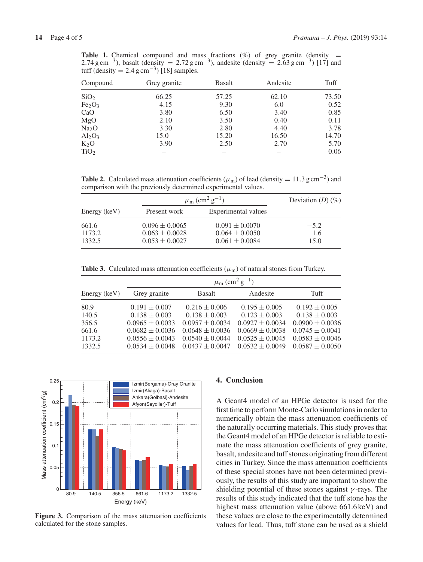**Table 1.** Chemical compound and mass fractions  $(\%)$  of grey granite (density = 2.74 g cm<sup>-3</sup>), basalt (density = 2.72 g cm<sup>-3</sup>), andesite (density = 2.63 g cm<sup>-3</sup>) [17] and tuff (density =  $2.4 \text{ g cm}^{-3}$ ) [18] samples.

| Compound                       | Grey granite | <b>Basalt</b> | Andesite | Tuff  |
|--------------------------------|--------------|---------------|----------|-------|
| SiO <sub>2</sub>               | 66.25        | 57.25         | 62.10    | 73.50 |
| Fe <sub>2</sub> O <sub>3</sub> | 4.15         | 9.30          | 6.0      | 0.52  |
| CaO                            | 3.80         | 6.50          | 3.40     | 0.85  |
| MgO                            | 2.10         | 3.50          | 0.40     | 0.11  |
| Na <sub>2</sub> O              | 3.30         | 2.80          | 4.40     | 3.78  |
| $Al_2O_3$                      | 15.0         | 15.20         | 16.50    | 14.70 |
| $K_2O$                         | 3.90         | 2.50          | 2.70     | 5.70  |
| TiO <sub>2</sub>               |              |               |          | 0.06  |

**Table 2.** Calculated mass attenuation coefficients ( $\mu$ <sub>m</sub>) of lead (density = 11.3 g cm<sup>-3</sup>) and comparison with the previously determined experimental values.

| Energy (keV) | $\mu_{\rm m}$ (cm <sup>2</sup> g <sup>-1</sup> ) | Deviation $(D)$ $(\%)$ |        |
|--------------|--------------------------------------------------|------------------------|--------|
|              | Present work                                     | Experimental values    |        |
| 661.6        | $0.096 \pm 0.0065$                               | $0.091 \pm 0.0070$     | $-5.2$ |
| 1173.2       | $0.063 \pm 0.0028$                               | $0.064 \pm 0.0050$     | 1.6    |
| 1332.5       | $0.053 \pm 0.0027$                               | $0.061 \pm 0.0084$     | 15.0   |

**Table 3.** Calculated mass attenuation coefficients ( $\mu_{\rm m}$ ) of natural stones from Turkey.

|              | $\mu_{\rm m}$ (cm <sup>2</sup> g <sup>-1</sup> ) |                     |                     |                     |  |
|--------------|--------------------------------------------------|---------------------|---------------------|---------------------|--|
| Energy (keV) | Grey granite                                     | <b>Basalt</b>       | Andesite            | Tuff                |  |
| 80.9         | $0.191 \pm 0.007$                                | $0.216 \pm 0.006$   | $0.195 \pm 0.005$   | $0.192 \pm 0.005$   |  |
| 140.5        | $0.138 \pm 0.003$                                | $0.138 \pm 0.003$   | $0.123 \pm 0.003$   | $0.138 \pm 0.003$   |  |
| 356.5        | $0.0965 \pm 0.0033$                              | $0.0957 \pm 0.0034$ | $0.0927 \pm 0.0034$ | $0.0900 \pm 0.0036$ |  |
| 661.6        | $0.0682 \pm 0.0036$                              | $0.0648 \pm 0.0036$ | $0.0669 \pm 0.0038$ | $0.0745 \pm 0.0041$ |  |
| 1173.2       | $0.0556 \pm 0.0043$                              | $0.0540 \pm 0.0044$ | $0.0525 \pm 0.0045$ | $0.0583 \pm 0.0046$ |  |
| 1332.5       | $0.0534 \pm 0.0048$                              | $0.0437 \pm 0.0047$ | $0.0532 \pm 0.0049$ | $0.0587 \pm 0.0050$ |  |



**Figure 3.** Comparison of the mass attenuation coefficients calculated for the stone samples.

#### **4. Conclusion**

A Geant4 model of an HPGe detector is used for the first time to perform Monte-Carlo simulations in order to numerically obtain the mass attenuation coefficients of the naturally occurring materials. This study proves that the Geant4 model of an HPGe detector is reliable to estimate the mass attenuation coefficients of grey granite, basalt, andesite and tuff stones originating from different cities in Turkey. Since the mass attenuation coefficients of these special stones have not been determined previously, the results of this study are important to show the shielding potential of these stones against  $\gamma$ -rays. The results of this study indicated that the tuff stone has the highest mass attenuation value (above 661.6 keV) and these values are close to the experimentally determined values for lead. Thus, tuff stone can be used as a shield